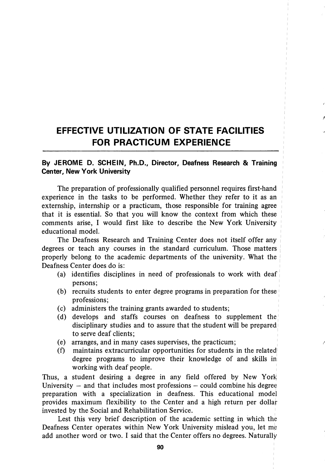## EFFECTIVE UTILIZATION OF STATE FACILITIES FOR PRACTICUM EXPERIENCE

## By JEROME D. SCHEIN, Ph.D., Director, Deafness Research & Training Center, New York University

The preparation of professionally qualified personnel requires first-hand experience in the tasks to be performed. Whether they refer to it as an extemship, internship or a practicum, those responsible for training agree that it is essential. So that you will know the context from which these comments arise, I would first like to describe the New York University educational model.

The Deafness Research and Training Center does not itself offer any degrees or teach any courses in the standard curriculum. Those matters properly belong to the academic departments of the university. What the Deafness Center does do is:

- (a) identifies disciplines in need of professionals to work with deaf persons;
- (b) recruits students to enter degree programs in preparation for these professions;
- (c) administers the training grants awarded to students;
- (d) develops and staffs courses on deafness to supplement the disciplinary studies and to assure that the student will be prepared to serve deaf clients;
- (e) arranges, and in many cases supervises, the practicum;
- (f) maintains extracurricular opportunities for students in the related degree programs to improve their knowledge of and skills in working with deaf people.

Thus, a student desiring a degree in any field offered by New York University  $-$  and that includes most professions  $-$  could combine his degree preparation with a specialization in deafness. This educational model provides maximum flexibility to the Center and a high return per dollar invested by the Social and Rehabilitation Service.

Lest this very brief description of the academic setting in which the Deafness Center operates within New York University mislead you, let me add another word or two. I said that the Center offers no degrees. Naturally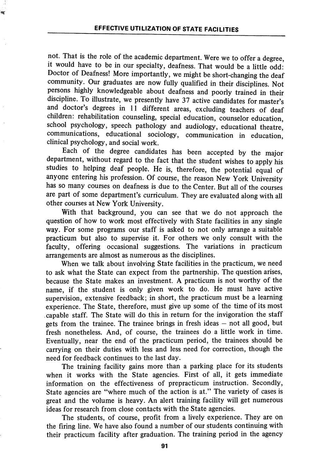.<br>M

not. That is the role of the academic department. Were we to offer a degree, it would have to be in our specialty, deafness. That would be a little odd: Doctor of Deafness! More importantly, we might be short-changing the deaf community. Our graduates are now fully qualified in their disciplines. Not persons highly knowledgeable about deafness and poorly trained in their discipline. To illustrate, we presently have 37 active candidates for master's and doctor's degrees in 11 different areas, excluding teachers of deaf children: rehabilitation counseling, special education, counselor education, school psychology, speech pathology and audiology, educational theatre, communications, educational sociology, communication in education, clinical psychology, and social work.

Each of the degree candidates has been accepted by the major department, without regard to the fact that the student wishes to apply his studies to helping deaf people. He is, therefore, the potential equal of anyone entering his profession. Of course, the reason New York University has so many courses on deafness is due to the Center. But all of the courses are part of some department's curriculum. They are evaluated along with all other courses at New York University.

With that background, you can see that we do not approach the question of how to work most effectively with State facilities in any single way. For some programs our staff is asked to not only arrange a suitable practicum but also to supervise it. For others we only consult with the faculty, offering occasional suggestions. The variations in practicum arrangements are almost as numerous as the disciplines.

When we talk about involving State facilities in the practicum, we need to ask what the State can expect from the partnership. The question arises, because the State makes an investment. A practicum is not worthy of the name, if the student is only given work to do. He must have active supervision, extensive feedback; in short, the practicum must be a learning experience. The State, therefore, must give up some of the time of its most capable staff. The State will do this in return for the invigoration the staff gets from the trainee. The trainee brings in fresh ideas — not all good, but fresh nonetheless. And, of course, the trainees do a little work in time. Eventually, near the end of the practicum period, the trainees should be carrying on their duties with less and less need for correction, though the need for feedback continues to the last day.

The training facility gains more than a parking place for its students when it works with the State agencies. First of all, it gets immediate information on the effectiveness of prepracticum instruction. Secondly, State agencies are "where much of the action is at." The variety of cases is great and the volume is heavy. An alert training facility will get numerous ideas for research from close contacts with the State agencies.

The students, of course, profit from a lively experience. They are on the firing line. We have also found a number of our students continuing with their practicum facility after graduation. The training period in the agency

91